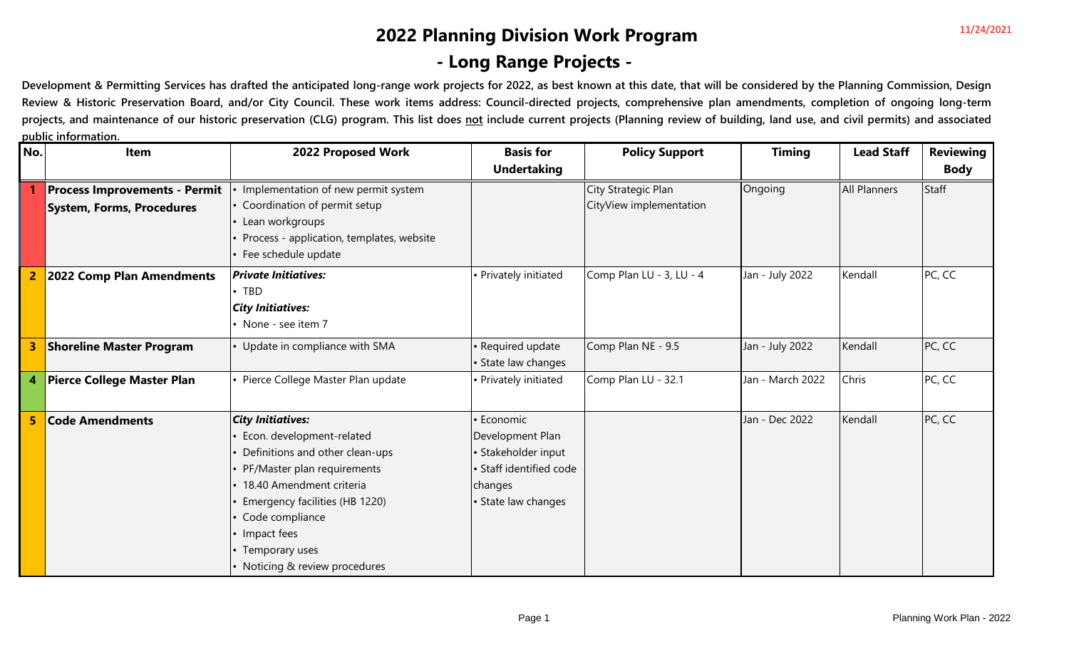### **2022 Planning Division Work Program - Long Range Projects -**

Development & Permitting Services has drafted the anticipated long-range work projects for 2022, as best known at this date, that will be considered by the Planning Commission, Design Review & Historic Preservation Board, and/or City Council. These work items address: Council-directed projects, comprehensive plan amendments, completion of ongoing long-term projects, and maintenance of our historic preservation (CLG) program. This list does not include current projects (Planning review of building, land use, and civil permits) and associated **public information.**

| No. | Item                                 | 2022 Proposed Work                        | <b>Basis for</b>        | <b>Policy Support</b>    | <b>Timing</b>    | <b>Lead Staff</b> | <b>Reviewing</b> |
|-----|--------------------------------------|-------------------------------------------|-------------------------|--------------------------|------------------|-------------------|------------------|
|     |                                      |                                           | <b>Undertaking</b>      |                          |                  |                   | <b>Body</b>      |
|     | <b>Process Improvements - Permit</b> | Implementation of new permit system       |                         | City Strategic Plan      | Ongoing          | All Planners      | <b>Staff</b>     |
|     | System, Forms, Procedures            | Coordination of permit setup              |                         | CityView implementation  |                  |                   |                  |
|     |                                      | Lean workgroups                           |                         |                          |                  |                   |                  |
|     |                                      | Process - application, templates, website |                         |                          |                  |                   |                  |
|     |                                      | Fee schedule update                       |                         |                          |                  |                   |                  |
|     | 2022 Comp Plan Amendments            | <b>Private Initiatives:</b>               | Privately initiated     | Comp Plan LU - 3, LU - 4 | Jan - July 2022  | Kendall           | PC, CC           |
|     |                                      | TBD                                       |                         |                          |                  |                   |                  |
|     |                                      | <b>City Initiatives:</b>                  |                         |                          |                  |                   |                  |
|     |                                      | None - see item 7                         |                         |                          |                  |                   |                  |
| 3   | <b>Shoreline Master Program</b>      | Update in compliance with SMA             | Required update         | Comp Plan NE - 9.5       | Jan - July 2022  | Kendall           | PC, CC           |
|     |                                      |                                           | State law changes       |                          |                  |                   |                  |
|     | 4 Pierce College Master Plan         | Pierce College Master Plan update         | • Privately initiated   | Comp Plan LU - 32.1      | Jan - March 2022 | Chris             | PC, CC           |
|     |                                      |                                           |                         |                          |                  |                   |                  |
| 5   | <b>Code Amendments</b>               | <b>City Initiatives:</b>                  | <b>Economic</b>         |                          | Jan - Dec 2022   | Kendall           | PC, CC           |
|     |                                      | Econ. development-related                 | Development Plan        |                          |                  |                   |                  |
|     |                                      | Definitions and other clean-ups           | · Stakeholder input     |                          |                  |                   |                  |
|     |                                      | PF/Master plan requirements               | · Staff identified code |                          |                  |                   |                  |
|     |                                      | 18.40 Amendment criteria                  | changes                 |                          |                  |                   |                  |
|     |                                      | Emergency facilities (HB 1220)            | • State law changes     |                          |                  |                   |                  |
|     |                                      | Code compliance                           |                         |                          |                  |                   |                  |
|     |                                      | Impact fees                               |                         |                          |                  |                   |                  |
|     |                                      | Temporary uses                            |                         |                          |                  |                   |                  |
|     |                                      | Noticing & review procedures              |                         |                          |                  |                   |                  |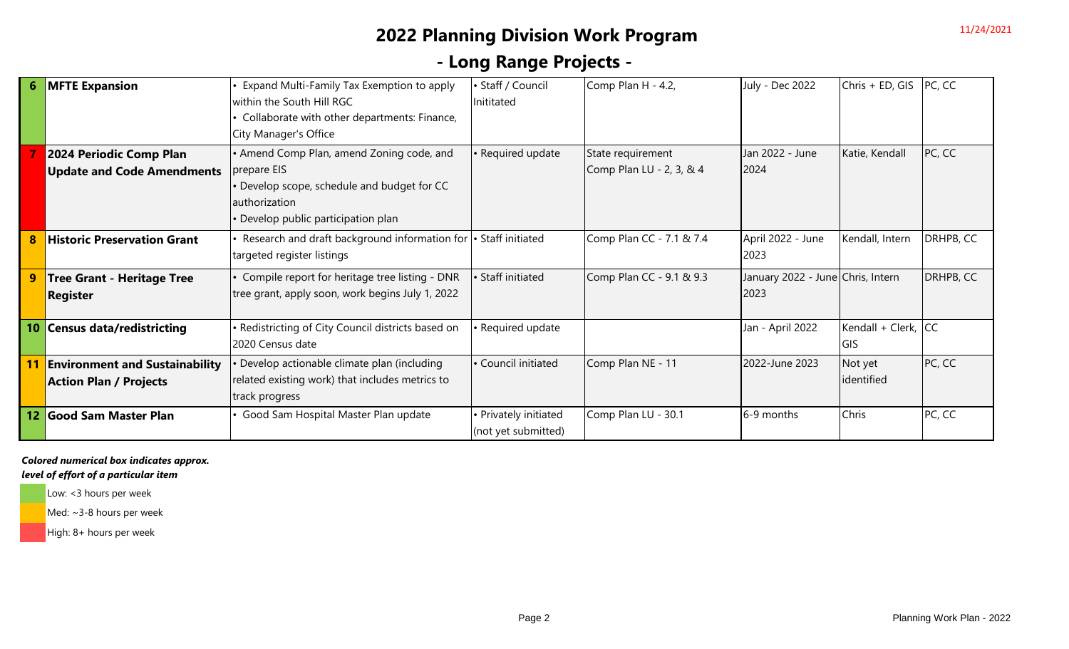### **2022 Planning Division Work Program**

## **- Long Range Projects -**

|    | <b>MFTE Expansion</b>                 | Expand Multi-Family Tax Exemption to apply                       | · Staff / Council   | Comp Plan H - 4.2,       | July - Dec 2022                   | Chris + ED, GIS     | PC, CC    |
|----|---------------------------------------|------------------------------------------------------------------|---------------------|--------------------------|-----------------------------------|---------------------|-----------|
|    |                                       | within the South Hill RGC                                        | Inititated          |                          |                                   |                     |           |
|    |                                       | Collaborate with other departments: Finance,                     |                     |                          |                                   |                     |           |
|    |                                       | City Manager's Office                                            |                     |                          |                                   |                     |           |
|    | 2024 Periodic Comp Plan               | • Amend Comp Plan, amend Zoning code, and                        | · Required update   | State requirement        | Jan 2022 - June                   | Katie, Kendall      | PC, CC    |
|    | <b>Update and Code Amendments</b>     | prepare EIS                                                      |                     | Comp Plan LU - 2, 3, & 4 | 2024                              |                     |           |
|    |                                       | • Develop scope, schedule and budget for CC                      |                     |                          |                                   |                     |           |
|    |                                       | authorization                                                    |                     |                          |                                   |                     |           |
|    |                                       | • Develop public participation plan                              |                     |                          |                                   |                     |           |
|    | <b>Historic Preservation Grant</b>    | Research and draft background information for  • Staff initiated |                     | Comp Plan CC - 7.1 & 7.4 | April 2022 - June                 | Kendall, Intern     | DRHPB, CC |
|    |                                       | targeted register listings                                       |                     |                          | 2023                              |                     |           |
|    | Tree Grant - Heritage Tree            | Compile report for heritage tree listing - DNR                   | · Staff initiated   | Comp Plan CC - 9.1 & 9.3 | January 2022 - June Chris, Intern |                     | DRHPB, CC |
|    | <b>Register</b>                       | tree grant, apply soon, work begins July 1, 2022                 |                     |                          | 2023                              |                     |           |
|    |                                       |                                                                  |                     |                          |                                   |                     |           |
| 10 | <b>Census data/redistricting</b>      | • Redistricting of City Council districts based on               | · Required update   |                          | Jan - April 2022                  | Kendall + Clerk, CC |           |
|    |                                       | 2020 Census date                                                 |                     |                          |                                   | <b>GIS</b>          |           |
|    | <b>Environment and Sustainability</b> | Develop actionable climate plan (including                       | · Council initiated | Comp Plan NE - 11        | 2022-June 2023                    | Not yet             | PC, CC    |
|    | <b>Action Plan / Projects</b>         | related existing work) that includes metrics to                  |                     |                          |                                   | identified          |           |
|    |                                       | track progress                                                   |                     |                          |                                   |                     |           |
| 12 | <b>Good Sam Master Plan</b>           | Good Sam Hospital Master Plan update                             | Privately initiated | Comp Plan LU - 30.1      | 6-9 months                        | Chris               | PC, CC    |
|    |                                       |                                                                  | (not yet submitted) |                          |                                   |                     |           |

*Colored numerical box indicates approx.* 

#### *level of effort of a particular item*

Low: <3 hours per week

Med: ~3-8 hours per week

High: 8+ hours per week